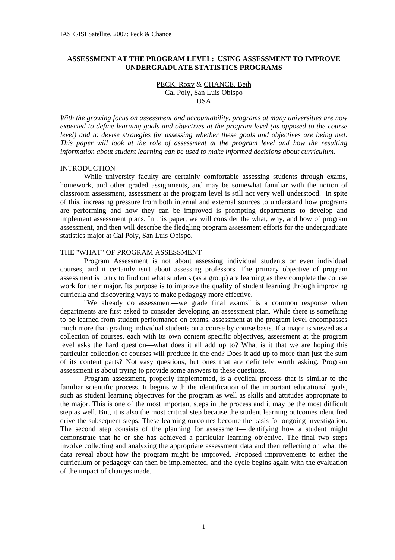# **ASSESSMENT AT THE PROGRAM LEVEL: USING ASSESSMENT TO IMPROVE UNDERGRADUATE STATISTICS PROGRAMS**

PECK, Roxy & CHANCE, Beth Cal Poly, San Luis Obispo **USA** 

*With the growing focus on assessment and accountability, programs at many universities are now expected to define learning goals and objectives at the program level (as opposed to the course level) and to devise strategies for assessing whether these goals and objectives are being met. This paper will look at the role of assessment at the program level and how the resulting information about student learning can be used to make informed decisions about curriculum.* 

#### INTRODUCTION

While university faculty are certainly comfortable assessing students through exams, homework, and other graded assignments, and may be somewhat familiar with the notion of classroom assessment, assessment at the program level is still not very well understood. In spite of this, increasing pressure from both internal and external sources to understand how programs are performing and how they can be improved is prompting departments to develop and implement assessment plans. In this paper, we will consider the what, why, and how of program assessment, and then will describe the fledgling program assessment efforts for the undergraduate statistics major at Cal Poly, San Luis Obispo.

## THE "WHAT" OF PROGRAM ASSESSMENT

Program Assessment is not about assessing individual students or even individual courses, and it certainly isn't about assessing professors. The primary objective of program assessment is to try to find out what students (as a group) are learning as they complete the course work for their major. Its purpose is to improve the quality of student learning through improving curricula and discovering ways to make pedagogy more effective.

"We already do assessment—we grade final exams" is a common response when departments are first asked to consider developing an assessment plan. While there is something to be learned from student performance on exams, assessment at the program level encompasses much more than grading individual students on a course by course basis. If a major is viewed as a collection of courses, each with its own content specific objectives, assessment at the program level asks the hard question—what does it all add up to? What is it that we are hoping this particular collection of courses will produce in the end? Does it add up to more than just the sum of its content parts? Not easy questions, but ones that are definitely worth asking. Program assessment is about trying to provide some answers to these questions.

Program assessment, properly implemented, is a cyclical process that is similar to the familiar scientific process. It begins with the identification of the important educational goals, such as student learning objectives for the program as well as skills and attitudes appropriate to the major. This is one of the most important steps in the process and it may be the most difficult step as well. But, it is also the most critical step because the student learning outcomes identified drive the subsequent steps. These learning outcomes become the basis for ongoing investigation. The second step consists of the planning for assessment—identifying how a student might demonstrate that he or she has achieved a particular learning objective. The final two steps involve collecting and analyzing the appropriate assessment data and then reflecting on what the data reveal about how the program might be improved. Proposed improvements to either the curriculum or pedagogy can then be implemented, and the cycle begins again with the evaluation of the impact of changes made.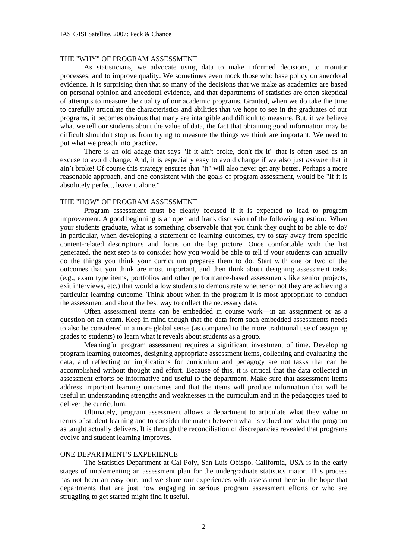## THE "WHY" OF PROGRAM ASSESSMENT

As statisticians, we advocate using data to make informed decisions, to monitor processes, and to improve quality. We sometimes even mock those who base policy on anecdotal evidence. It is surprising then that so many of the decisions that we make as academics are based on personal opinion and anecdotal evidence, and that departments of statistics are often skeptical of attempts to measure the quality of our academic programs. Granted, when we do take the time to carefully articulate the characteristics and abilities that we hope to see in the graduates of our programs, it becomes obvious that many are intangible and difficult to measure. But, if we believe what we tell our students about the value of data, the fact that obtaining good information may be difficult shouldn't stop us from trying to measure the things we think are important. We need to put what we preach into practice.

There is an old adage that says "If it ain't broke, don't fix it" that is often used as an excuse to avoid change. And, it is especially easy to avoid change if we also just *assume* that it ain't broke! Of course this strategy ensures that "it" will also never get any better. Perhaps a more reasonable approach, and one consistent with the goals of program assessment, would be "If it is absolutely perfect, leave it alone."

### THE "HOW" OF PROGRAM ASSESSMENT

Program assessment must be clearly focused if it is expected to lead to program improvement. A good beginning is an open and frank discussion of the following question: When your students graduate, what is something observable that you think they ought to be able to do? In particular, when developing a statement of learning outcomes, try to stay away from specific content-related descriptions and focus on the big picture. Once comfortable with the list generated, the next step is to consider how you would be able to tell if your students can actually do the things you think your curriculum prepares them to do. Start with one or two of the outcomes that you think are most important, and then think about designing assessment tasks (e.g., exam type items, portfolios and other performance-based assessments like senior projects, exit interviews, etc.) that would allow students to demonstrate whether or not they are achieving a particular learning outcome. Think about when in the program it is most appropriate to conduct the assessment and about the best way to collect the necessary data.

Often assessment items can be embedded in course work—in an assignment or as a question on an exam. Keep in mind though that the data from such embedded assessments needs to also be considered in a more global sense (as compared to the more traditional use of assigning grades to students) to learn what it reveals about students as a group.

Meaningful program assessment requires a significant investment of time. Developing program learning outcomes, designing appropriate assessment items, collecting and evaluating the data, and reflecting on implications for curriculum and pedagogy are not tasks that can be accomplished without thought and effort. Because of this, it is critical that the data collected in assessment efforts be informative and useful to the department. Make sure that assessment items address important learning outcomes and that the items will produce information that will be useful in understanding strengths and weaknesses in the curriculum and in the pedagogies used to deliver the curriculum.

Ultimately, program assessment allows a department to articulate what they value in terms of student learning and to consider the match between what is valued and what the program as taught actually delivers. It is through the reconciliation of discrepancies revealed that programs evolve and student learning improves.

## ONE DEPARTMENT'S EXPERIENCE

The Statistics Department at Cal Poly, San Luis Obispo, California, USA is in the early stages of implementing an assessment plan for the undergraduate statistics major. This process has not been an easy one, and we share our experiences with assessment here in the hope that departments that are just now engaging in serious program assessment efforts or who are struggling to get started might find it useful.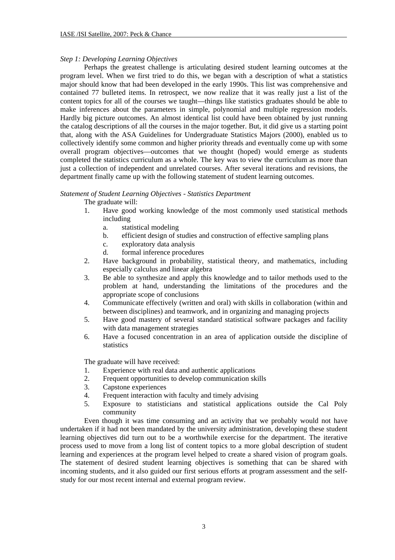# *Step 1: Developing Learning Objectives*

Perhaps the greatest challenge is articulating desired student learning outcomes at the program level. When we first tried to do this, we began with a description of what a statistics major should know that had been developed in the early 1990s. This list was comprehensive and contained 77 bulleted items. In retrospect, we now realize that it was really just a list of the content topics for all of the courses we taught—things like statistics graduates should be able to make inferences about the parameters in simple, polynomial and multiple regression models. Hardly big picture outcomes. An almost identical list could have been obtained by just running the catalog descriptions of all the courses in the major together. But, it did give us a starting point that, along with the ASA Guidelines for Undergraduate Statistics Majors (2000), enabled us to collectively identify some common and higher priority threads and eventually come up with some overall program objectives—outcomes that we thought (hoped) would emerge as students completed the statistics curriculum as a whole. The key was to view the curriculum as more than just a collection of independent and unrelated courses. After several iterations and revisions, the department finally came up with the following statement of student learning outcomes.

# *Statement of Student Learning Objectives - Statistics Department*

The graduate will:

- 1. Have good working knowledge of the most commonly used statistical methods including
	- a. statistical modeling
	- b. efficient design of studies and construction of effective sampling plans
	- c. exploratory data analysis
	- d. formal inference procedures
- 2. Have background in probability, statistical theory, and mathematics, including especially calculus and linear algebra
- 3. Be able to synthesize and apply this knowledge and to tailor methods used to the problem at hand, understanding the limitations of the procedures and the appropriate scope of conclusions
- 4. Communicate effectively (written and oral) with skills in collaboration (within and between disciplines) and teamwork, and in organizing and managing projects
- 5. Have good mastery of several standard statistical software packages and facility with data management strategies
- 6. Have a focused concentration in an area of application outside the discipline of statistics

The graduate will have received:

- 1. Experience with real data and authentic applications
- 2. Frequent opportunities to develop communication skills
- 3. Capstone experiences
- 4. Frequent interaction with faculty and timely advising
- 5. Exposure to statisticians and statistical applications outside the Cal Poly community

Even though it was time consuming and an activity that we probably would not have undertaken if it had not been mandated by the university administration, developing these student learning objectives did turn out to be a worthwhile exercise for the department. The iterative process used to move from a long list of content topics to a more global description of student learning and experiences at the program level helped to create a shared vision of program goals. The statement of desired student learning objectives is something that can be shared with incoming students, and it also guided our first serious efforts at program assessment and the selfstudy for our most recent internal and external program review.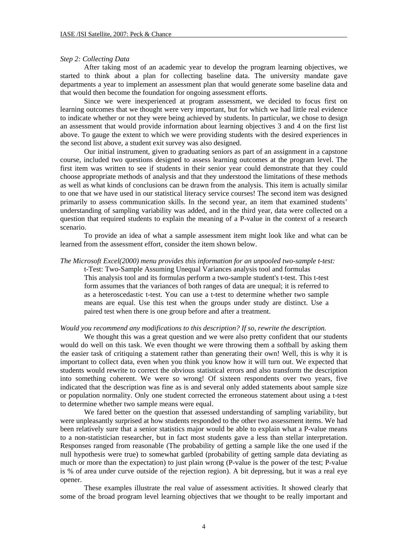#### *Step 2: Collecting Data*

After taking most of an academic year to develop the program learning objectives, we started to think about a plan for collecting baseline data. The university mandate gave departments a year to implement an assessment plan that would generate some baseline data and that would then become the foundation for ongoing assessment efforts.

Since we were inexperienced at program assessment, we decided to focus first on learning outcomes that we thought were very important, but for which we had little real evidence to indicate whether or not they were being achieved by students. In particular, we chose to design an assessment that would provide information about learning objectives 3 and 4 on the first list above. To gauge the extent to which we were providing students with the desired experiences in the second list above, a student exit survey was also designed.

Our initial instrument, given to graduating seniors as part of an assignment in a capstone course, included two questions designed to assess learning outcomes at the program level. The first item was written to see if students in their senior year could demonstrate that they could choose appropriate methods of analysis and that they understood the limitations of these methods as well as what kinds of conclusions can be drawn from the analysis. This item is actually similar to one that we have used in our statistical literacy service courses! The second item was designed primarily to assess communication skills. In the second year, an item that examined students' understanding of sampling variability was added, and in the third year, data were collected on a question that required students to explain the meaning of a P-value in the context of a research scenario.

To provide an idea of what a sample assessment item might look like and what can be learned from the assessment effort, consider the item shown below.

#### *The Microsoft Excel(2000) menu provides this information for an unpooled two-sample t-test:*

t-Test: Two-Sample Assuming Unequal Variances analysis tool and formulas This analysis tool and its formulas perform a two-sample student's t-test. This t-test form assumes that the variances of both ranges of data are unequal; it is referred to as a heteroscedastic t-test. You can use a t-test to determine whether two sample means are equal. Use this test when the groups under study are distinct. Use a paired test when there is one group before and after a treatment.

#### *Would you recommend any modifications to this description? If so, rewrite the description.*

We thought this was a great question and we were also pretty confident that our students would do well on this task. We even thought we were throwing them a softball by asking them the easier task of critiquing a statement rather than generating their own! Well, this is why it is important to collect data, even when you think you know how it will turn out. We expected that students would rewrite to correct the obvious statistical errors and also transform the description into something coherent. We were *so* wrong! Of sixteen respondents over two years, five indicated that the description was fine as is and several only added statements about sample size or population normality. Only one student corrected the erroneous statement about using a t-test to determine whether two sample means were equal.

We fared better on the question that assessed understanding of sampling variability, but were unpleasantly surprised at how students responded to the other two assessment items. We had been relatively sure that a senior statistics major would be able to explain what a P-value means to a non-statistician researcher, but in fact most students gave a less than stellar interpretation. Responses ranged from reasonable (The probability of getting a sample like the one used if the null hypothesis were true) to somewhat garbled (probability of getting sample data deviating as much or more than the expectation) to just plain wrong (P-value is the power of the test; P-value is % of area under curve outside of the rejection region). A bit depressing, but it was a real eye opener.

These examples illustrate the real value of assessment activities. It showed clearly that some of the broad program level learning objectives that we thought to be really important and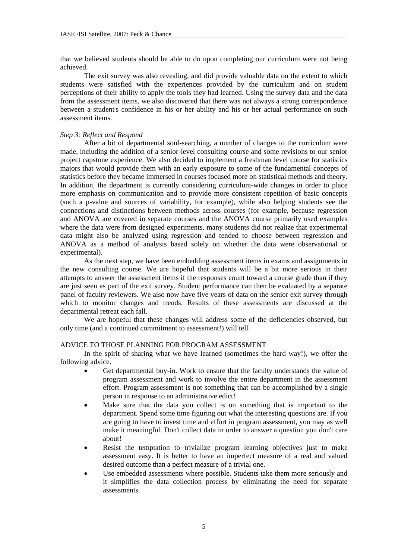that we believed students should be able to do upon completing our curriculum were not being achieved.

The exit survey was also revealing, and did provide valuable data on the extent to which students were satisfied with the experiences provided by the curriculum and on student perceptions of their ability to apply the tools they had learned. Using the survey data and the data from the assessment items, we also discovered that there was not always a strong correspondence between a student's confidence in his or her ability and his or her actual performance on such assessment items.

### *Step 3: Reflect and Respond*

After a bit of departmental soul-searching, a number of changes to the curriculum were made, including the addition of a senior-level consulting course and some revisions to our senior project capstone experience. We also decided to implement a freshman level course for statistics majors that would provide them with an early exposure to some of the fundamental concepts of statistics before they became immersed in courses focused more on statistical methods and theory. In addition, the department is currently considering curriculum-wide changes in order to place more emphasis on communication and to provide more consistent repetition of basic concepts (such a p-value and sources of variability, for example), while also helping students see the connections and distinctions between methods across courses (for example, because regression and ANOVA are covered in separate courses and the ANOVA course primarily used examples where the data were from designed experiments, many students did not realize that experimental data might also be analyzed using regression and tended to choose between regression and ANOVA as a method of analysis based solely on whether the data were observational or experimental).

As the next step, we have been embedding assessment items in exams and assignments in the new consulting course. We are hopeful that students will be a bit more serious in their attempts to answer the assessment items if the responses count toward a course grade than if they are just seen as part of the exit survey. Student performance can then be evaluated by a separate panel of faculty reviewers. We also now have five years of data on the senior exit survey through which to monitor changes and trends. Results of these assessments are discussed at the departmental retreat each fall.

We are hopeful that these changes will address some of the deficiencies observed, but only time (and a continued commitment to assessment!) will tell.

## ADVICE TO THOSE PLANNING FOR PROGRAM ASSESSMENT

In the spirit of sharing what we have learned (sometimes the hard way!), we offer the following advice.

- Get departmental buy-in. Work to ensure that the faculty understands the value of program assessment and work to involve the entire department in the assessment effort. Program assessment is not something that can be accomplished by a single person in response to an administrative edict!
- Make sure that the data you collect is on something that is important to the department. Spend some time figuring out what the interesting questions are. If you are going to have to invest time and effort in program assessment, you may as well make it meaningful. Don't collect data in order to answer a question you don't care about!
- Resist the temptation to trivialize program learning objectives just to make assessment easy. It is better to have an imperfect measure of a real and valued desired outcome than a perfect measure of a trivial one.
- Use embedded assessments where possible. Students take them more seriously and it simplifies the data collection process by eliminating the need for separate assessments.